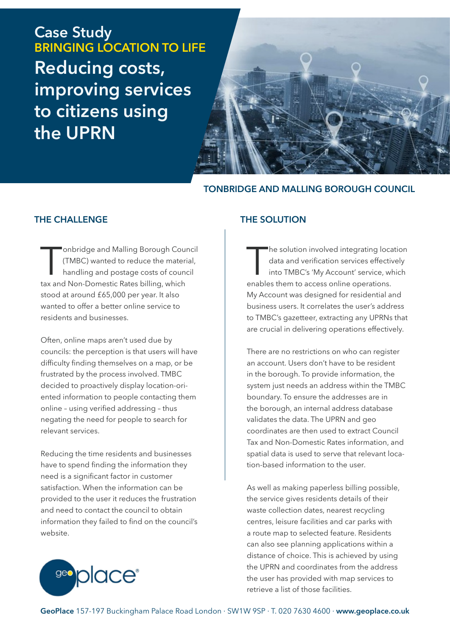**Case Study BRINGING LOCATION TO LIFE Reducing costs, improving services to citizens using the UPRN**



### **TONBRIDGE AND MALLING BOROUGH COUNCIL**

#### **THE CHALLENGE**

onbridge and Malling Borough Court<br>
(TMBC) wanted to reduce the material<br>
handling and postage costs of count<br>
tax and Non-Domestic Rates billing, which onbridge and Malling Borough Council (TMBC) wanted to reduce the material, handling and postage costs of council stood at around £65,000 per year. It also wanted to offer a better online service to residents and businesses.

Often, online maps aren't used due by councils: the perception is that users will have difficulty finding themselves on a map, or be frustrated by the process involved. TMBC decided to proactively display location-oriented information to people contacting them online – using verified addressing – thus negating the need for people to search for relevant services.

Reducing the time residents and businesses have to spend finding the information they need is a significant factor in customer satisfaction. When the information can be provided to the user it reduces the frustration and need to contact the council to obtain information they failed to find on the council's website.

#### **THE SOLUTION**

The solution involved integrating location and verification services effectively<br>into TMBC's 'My Account' service, when<br>ables them to access online operations. he solution involved integrating location data and verification services effectively into TMBC's 'My Account' service, which My Account was designed for residential and business users. It correlates the user's address to TMBC's gazetteer, extracting any UPRNs that are crucial in delivering operations effectively.

There are no restrictions on who can register an account. Users don't have to be resident in the borough. To provide information, the system just needs an address within the TMBC boundary. To ensure the addresses are in the borough, an internal address database validates the data. The UPRN and geo coordinates are then used to extract Council Tax and Non-Domestic Rates information, and spatial data is used to serve that relevant location-based information to the user.

As well as making paperless billing possible, the service gives residents details of their waste collection dates, nearest recycling centres, leisure facilities and car parks with a route map to selected feature. Residents can also see planning applications within a distance of choice. This is achieved by using the UPRN and coordinates from the address the user has provided with map services to retrieve a list of those facilities.

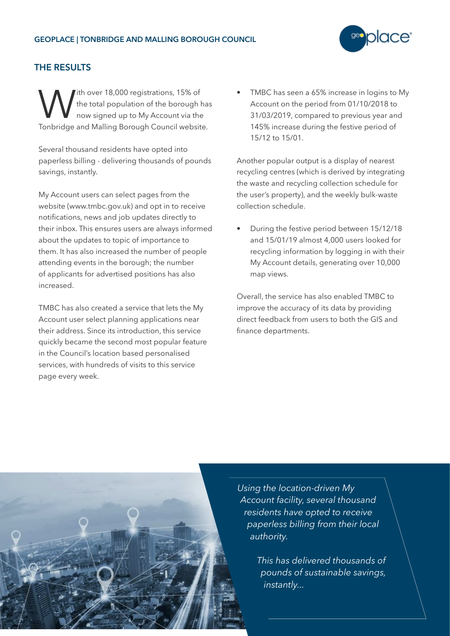

## **THE RESULTS**

With over 18,000 registrations, 15% of<br>the total population of the borough l<br>Topbridge and Malling Borough Council websit the total population of the borough has now signed up to My Account via the Tonbridge and Malling Borough Council website.

Several thousand residents have opted into paperless billing - delivering thousands of pounds savings, instantly.

My Account users can select pages from the website (www.tmbc.gov.uk) and opt in to receive notifications, news and job updates directly to their inbox. This ensures users are always informed about the updates to topic of importance to them. It has also increased the number of people attending events in the borough; the number of applicants for advertised positions has also increased.

TMBC has also created a service that lets the My Account user select planning applications near their address. Since its introduction, this service quickly became the second most popular feature in the Council's location based personalised services, with hundreds of visits to this service page every week.

• TMBC has seen a 65% increase in logins to My Account on the period from 01/10/2018 to 31/03/2019, compared to previous year and 145% increase during the festive period of 15/12 to 15/01.

Another popular output is a display of nearest recycling centres (which is derived by integrating the waste and recycling collection schedule for the user's property), and the weekly bulk-waste collection schedule.

• During the festive period between 15/12/18 and 15/01/19 almost 4,000 users looked for recycling information by logging in with their My Account details, generating over 10,000 map views.

Overall, the service has also enabled TMBC to improve the accuracy of its data by providing direct feedback from users to both the GIS and finance departments.



*Using the location-driven My Account facility, several thousand residents have opted to receive paperless billing from their local authority.*

> *This has delivered thousands of pounds of sustainable savings, instantly...*